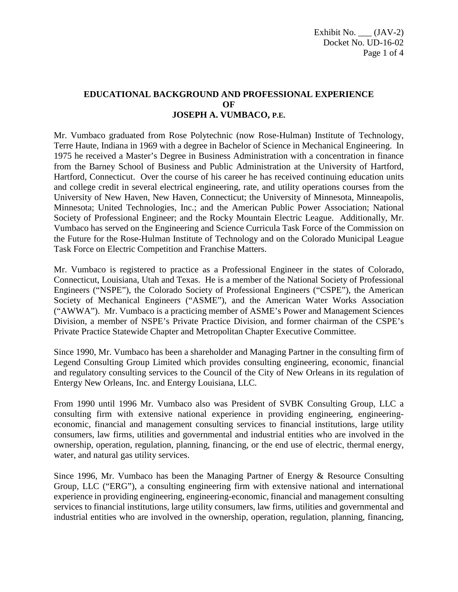## **EDUCATIONAL BACKGROUND AND PROFESSIONAL EXPERIENCE OF JOSEPH A. VUMBACO, P.E.**

Mr. Vumbaco graduated from Rose Polytechnic (now Rose-Hulman) Institute of Technology, Terre Haute, Indiana in 1969 with a degree in Bachelor of Science in Mechanical Engineering. In 1975 he received a Master's Degree in Business Administration with a concentration in finance from the Barney School of Business and Public Administration at the University of Hartford, Hartford, Connecticut. Over the course of his career he has received continuing education units and college credit in several electrical engineering, rate, and utility operations courses from the University of New Haven, New Haven, Connecticut; the University of Minnesota, Minneapolis, Minnesota; United Technologies, Inc.; and the American Public Power Association; National Society of Professional Engineer; and the Rocky Mountain Electric League. Additionally, Mr. Vumbaco has served on the Engineering and Science Curricula Task Force of the Commission on the Future for the Rose-Hulman Institute of Technology and on the Colorado Municipal League Task Force on Electric Competition and Franchise Matters.

Mr. Vumbaco is registered to practice as a Professional Engineer in the states of Colorado, Connecticut, Louisiana, Utah and Texas. He is a member of the National Society of Professional Engineers ("NSPE"), the Colorado Society of Professional Engineers ("CSPE"), the American Society of Mechanical Engineers ("ASME"), and the American Water Works Association ("AWWA"). Mr. Vumbaco is a practicing member of ASME's Power and Management Sciences Division, a member of NSPE's Private Practice Division, and former chairman of the CSPE's Private Practice Statewide Chapter and Metropolitan Chapter Executive Committee.

Since 1990, Mr. Vumbaco has been a shareholder and Managing Partner in the consulting firm of Legend Consulting Group Limited which provides consulting engineering, economic, financial and regulatory consulting services to the Council of the City of New Orleans in its regulation of Entergy New Orleans, Inc. and Entergy Louisiana, LLC.

From 1990 until 1996 Mr. Vumbaco also was President of SVBK Consulting Group, LLC a consulting firm with extensive national experience in providing engineering, engineeringeconomic, financial and management consulting services to financial institutions, large utility consumers, law firms, utilities and governmental and industrial entities who are involved in the ownership, operation, regulation, planning, financing, or the end use of electric, thermal energy, water, and natural gas utility services.

Since 1996, Mr. Vumbaco has been the Managing Partner of Energy & Resource Consulting Group, LLC ("ERG"), a consulting engineering firm with extensive national and international experience in providing engineering, engineering-economic, financial and management consulting services to financial institutions, large utility consumers, law firms, utilities and governmental and industrial entities who are involved in the ownership, operation, regulation, planning, financing,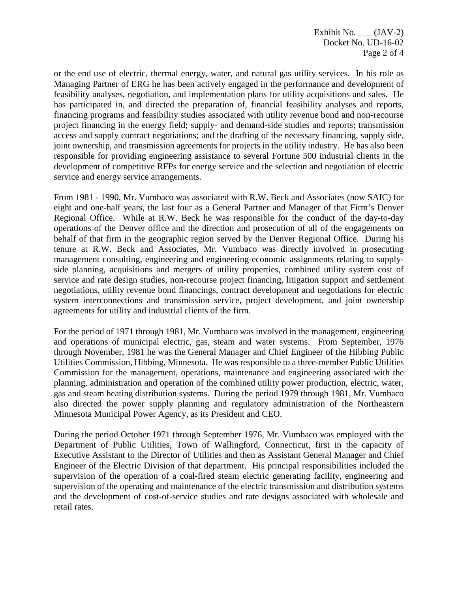or the end use of electric, thermal energy, water, and natural gas utility services. In his role as Managing Partner of ERG he has been actively engaged in the performance and development of feasibility analyses, negotiation, and implementation plans for utility acquisitions and sales. He has participated in, and directed the preparation of, financial feasibility analyses and reports, financing programs and feasibility studies associated with utility revenue bond and non-recourse project financing in the energy field; supply- and demand-side studies and reports; transmission access and supply contract negotiations; and the drafting of the necessary financing, supply side, joint ownership, and transmission agreements for projects in the utility industry. He has also been responsible for providing engineering assistance to several Fortune 500 industrial clients in the development of competitive RFPs for energy service and the selection and negotiation of electric service and energy service arrangements.

From 1981 - 1990, Mr. Vumbaco was associated with R.W. Beck and Associates (now SAIC) for eight and one-half years, the last four as a General Partner and Manager of that Firm's Denver Regional Office. While at R.W. Beck he was responsible for the conduct of the day-to-day operations of the Denver office and the direction and prosecution of all of the engagements on behalf of that firm in the geographic region served by the Denver Regional Office. During his tenure at R.W. Beck and Associates, Mr. Vumbaco was directly involved in prosecuting management consulting, engineering and engineering-economic assignments relating to supplyside planning, acquisitions and mergers of utility properties, combined utility system cost of service and rate design studies, non-recourse project financing, litigation support and settlement negotiations, utility revenue bond financings, contract development and negotiations for electric system interconnections and transmission service, project development, and joint ownership agreements for utility and industrial clients of the firm.

For the period of 1971 through 1981, Mr. Vumbaco was involved in the management, engineering and operations of municipal electric, gas, steam and water systems. From September, 1976 through November, 1981 he was the General Manager and Chief Engineer of the Hibbing Public Utilities Commission, Hibbing, Minnesota. He was responsible to a three-member Public Utilities Commission for the management, operations, maintenance and engineering associated with the planning, administration and operation of the combined utility power production, electric, water, gas and steam heating distribution systems. During the period 1979 through 1981, Mr. Vumbaco also directed the power supply planning and regulatory administration of the Northeastern Minnesota Municipal Power Agency, as its President and CEO.

During the period October 1971 through September 1976, Mr. Vumbaco was employed with the Department of Public Utilities, Town of Wallingford, Connecticut, first in the capacity of Executive Assistant to the Director of Utilities and then as Assistant General Manager and Chief Engineer of the Electric Division of that department. His principal responsibilities included the supervision of the operation of a coal-fired steam electric generating facility, engineering and supervision of the operating and maintenance of the electric transmission and distribution systems and the development of cost-of-service studies and rate designs associated with wholesale and retail rates.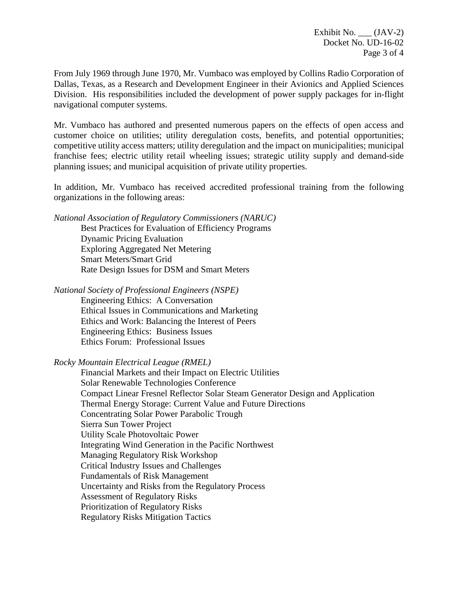Exhibit No.  $\_\_$  (JAV-2) Docket No. UD-16-02 Page 3 of 4

From July 1969 through June 1970, Mr. Vumbaco was employed by Collins Radio Corporation of Dallas, Texas, as a Research and Development Engineer in their Avionics and Applied Sciences Division. His responsibilities included the development of power supply packages for in-flight navigational computer systems.

Mr. Vumbaco has authored and presented numerous papers on the effects of open access and customer choice on utilities; utility deregulation costs, benefits, and potential opportunities; competitive utility access matters; utility deregulation and the impact on municipalities; municipal franchise fees; electric utility retail wheeling issues; strategic utility supply and demand-side planning issues; and municipal acquisition of private utility properties.

In addition, Mr. Vumbaco has received accredited professional training from the following organizations in the following areas:

*National Association of Regulatory Commissioners (NARUC)*

Best Practices for Evaluation of Efficiency Programs Dynamic Pricing Evaluation Exploring Aggregated Net Metering Smart Meters/Smart Grid Rate Design Issues for DSM and Smart Meters

*National Society of Professional Engineers (NSPE)*

Engineering Ethics: A Conversation Ethical Issues in Communications and Marketing Ethics and Work: Balancing the Interest of Peers Engineering Ethics: Business Issues Ethics Forum: Professional Issues

*Rocky Mountain Electrical League (RMEL)*

Financial Markets and their Impact on Electric Utilities Solar Renewable Technologies Conference Compact Linear Fresnel Reflector Solar Steam Generator Design and Application Thermal Energy Storage: Current Value and Future Directions Concentrating Solar Power Parabolic Trough Sierra Sun Tower Project Utility Scale Photovoltaic Power Integrating Wind Generation in the Pacific Northwest Managing Regulatory Risk Workshop Critical Industry Issues and Challenges Fundamentals of Risk Management Uncertainty and Risks from the Regulatory Process Assessment of Regulatory Risks Prioritization of Regulatory Risks Regulatory Risks Mitigation Tactics